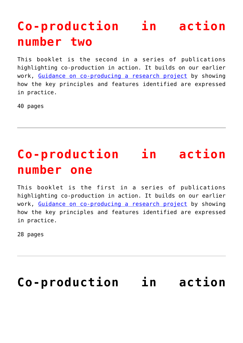## **[Co-production](https://www.invo.org.uk/posttypepublication/co-production-in-action-number-two/) [in action](https://www.invo.org.uk/posttypepublication/co-production-in-action-number-two/) [number two](https://www.invo.org.uk/posttypepublication/co-production-in-action-number-two/)**

This booklet is the second in a series of publications highlighting co-production in action. It builds on our earlier work, [Guidance on co-producing a research project](http://www.invo.org.uk/posttypepublication/guidance-on-co-producing-a-research-project/) by showing how the key principles and features identified are expressed in practice.

40 pages

#### **[Co-production](https://www.invo.org.uk/posttypepublication/co-production-in-action-number-one/) [in action](https://www.invo.org.uk/posttypepublication/co-production-in-action-number-one/) [number one](https://www.invo.org.uk/posttypepublication/co-production-in-action-number-one/)**

This booklet is the first in a series of publications highlighting co-production in action. It builds on our earlier work, [Guidance on co-producing a research project](http://www.invo.org.uk/posttypepublication/guidance-on-co-producing-a-research-project/) by showing how the key principles and features identified are expressed in practice.

28 pages

#### **[Co-production](https://www.invo.org.uk/co-production-in-action-no2front/) [in action](https://www.invo.org.uk/co-production-in-action-no2front/)**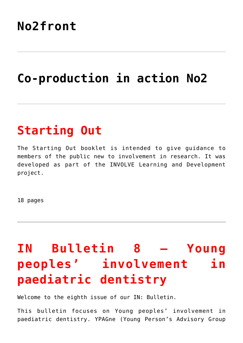#### **[No2front](https://www.invo.org.uk/co-production-in-action-no2front/)**

## **[Co-production](https://www.invo.org.uk/co-production-in-action-no2/) [in action No2](https://www.invo.org.uk/co-production-in-action-no2/)**

### **[Starting Out](https://www.invo.org.uk/posttypepublication/starting-out/)**

The Starting Out booklet is intended to give guidance to members of the public new to involvement in research. It was developed as part of the INVOLVE Learning and Development project.

18 pages

# **[IN](https://www.invo.org.uk/posttypepublication/in-bulletin-8-young-peoples-involvement-in-paediatric-dentistry/) [Bulletin 8 – Young](https://www.invo.org.uk/posttypepublication/in-bulletin-8-young-peoples-involvement-in-paediatric-dentistry/) [peoples' involvement](https://www.invo.org.uk/posttypepublication/in-bulletin-8-young-peoples-involvement-in-paediatric-dentistry/) [in](https://www.invo.org.uk/posttypepublication/in-bulletin-8-young-peoples-involvement-in-paediatric-dentistry/) [paediatric dentistry](https://www.invo.org.uk/posttypepublication/in-bulletin-8-young-peoples-involvement-in-paediatric-dentistry/)**

Welcome to the eighth issue of our IN: Bulletin.

This bulletin focuses on Young peoples' involvement in paediatric dentistry. YPAGne (Young Person's Advisory Group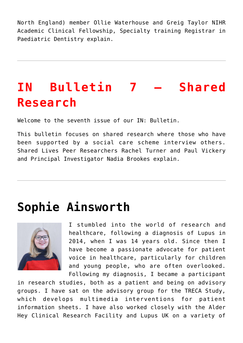North England) member Ollie Waterhouse and Greig Taylor NIHR Academic Clinical Fellowship, Specialty training Registrar in Paediatric Dentistry explain.

# **[IN](https://www.invo.org.uk/posttypepublication/in-bulletin-7-shared-research/) [Bulletin 7 – Shared](https://www.invo.org.uk/posttypepublication/in-bulletin-7-shared-research/) [Research](https://www.invo.org.uk/posttypepublication/in-bulletin-7-shared-research/)**

Welcome to the seventh issue of our IN: Bulletin.

This bulletin focuses on shared research where those who have been supported by a social care scheme interview others. Shared Lives Peer Researchers Rachel Turner and Paul Vickery and Principal Investigator Nadia Brookes explain.

#### **[Sophie Ainsworth](https://www.invo.org.uk/posttypemembers/sophie-ainsworth/)**



I stumbled into the world of research and healthcare, following a diagnosis of Lupus in 2014, when I was 14 years old. Since then I have become a passionate advocate for patient voice in healthcare, particularly for children and young people, who are often overlooked. Following my diagnosis, I became a participant

in research studies, both as a patient and being on advisory groups. I have sat on the advisory group for the TRECA Study, which develops multimedia interventions for patient information sheets. I have also worked closely with the Alder Hey Clinical Research Facility and Lupus UK on a variety of